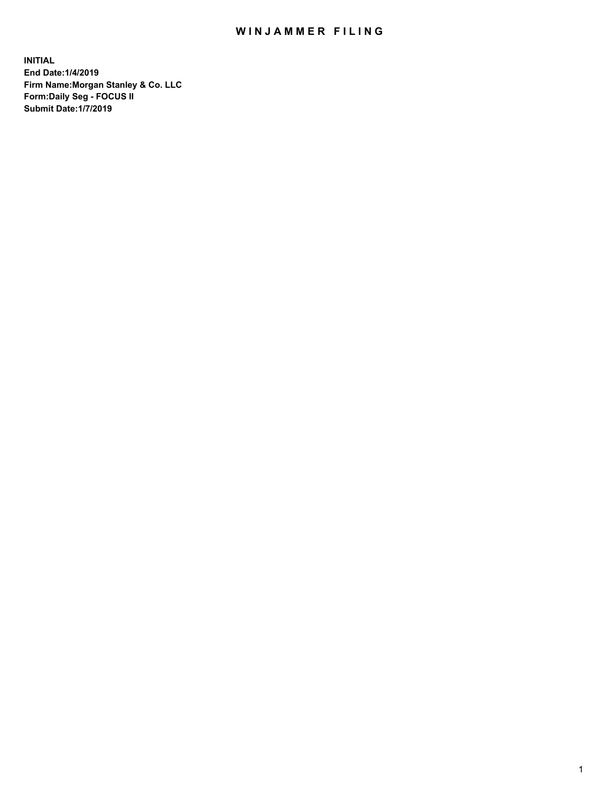## WIN JAMMER FILING

**INITIAL End Date:1/4/2019 Firm Name:Morgan Stanley & Co. LLC Form:Daily Seg - FOCUS II Submit Date:1/7/2019**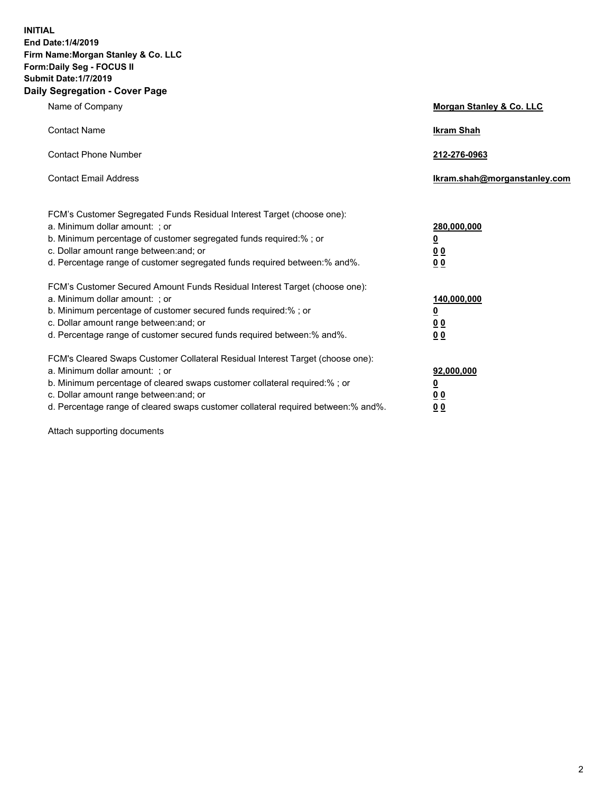**INITIAL End Date:1/4/2019 Firm Name:Morgan Stanley & Co. LLC Form:Daily Seg - FOCUS II Submit Date:1/7/2019 Daily Segregation - Cover Page**

| Name of Company                                                                                                                                                                                                                                                                                                                | Morgan Stanley & Co. LLC                                    |
|--------------------------------------------------------------------------------------------------------------------------------------------------------------------------------------------------------------------------------------------------------------------------------------------------------------------------------|-------------------------------------------------------------|
| <b>Contact Name</b>                                                                                                                                                                                                                                                                                                            | <b>Ikram Shah</b>                                           |
| <b>Contact Phone Number</b>                                                                                                                                                                                                                                                                                                    | 212-276-0963                                                |
| <b>Contact Email Address</b>                                                                                                                                                                                                                                                                                                   | Ikram.shah@morganstanley.com                                |
| FCM's Customer Segregated Funds Residual Interest Target (choose one):<br>a. Minimum dollar amount: ; or<br>b. Minimum percentage of customer segregated funds required:% ; or<br>c. Dollar amount range between: and; or<br>d. Percentage range of customer segregated funds required between:% and%.                         | 280,000,000<br><u>0</u><br>0 <sub>0</sub><br>00             |
| FCM's Customer Secured Amount Funds Residual Interest Target (choose one):<br>a. Minimum dollar amount: ; or<br>b. Minimum percentage of customer secured funds required:%; or<br>c. Dollar amount range between: and; or<br>d. Percentage range of customer secured funds required between:% and%.                            | 140,000,000<br><u>0</u><br>0 <sub>0</sub><br>0 <sub>0</sub> |
| FCM's Cleared Swaps Customer Collateral Residual Interest Target (choose one):<br>a. Minimum dollar amount: ; or<br>b. Minimum percentage of cleared swaps customer collateral required:% ; or<br>c. Dollar amount range between: and; or<br>d. Percentage range of cleared swaps customer collateral required between:% and%. | 92,000,000<br><u>0</u><br><u>00</u><br>00                   |

Attach supporting documents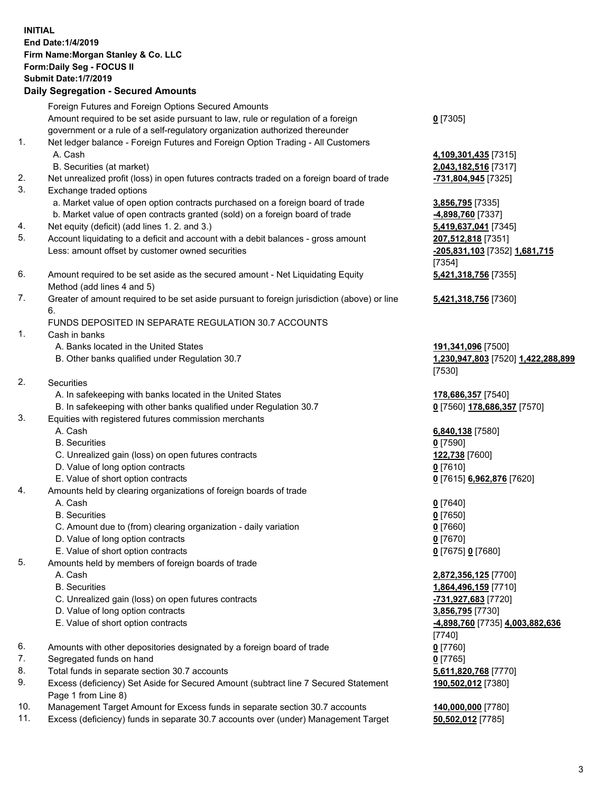|    | <b>INITIAL</b><br>End Date: 1/4/2019<br>Firm Name: Morgan Stanley & Co. LLC<br>Form: Daily Seg - FOCUS II<br><b>Submit Date: 1/7/2019</b><br><b>Daily Segregation - Secured Amounts</b> |                                                               |
|----|-----------------------------------------------------------------------------------------------------------------------------------------------------------------------------------------|---------------------------------------------------------------|
|    | Foreign Futures and Foreign Options Secured Amounts                                                                                                                                     |                                                               |
|    | Amount required to be set aside pursuant to law, rule or regulation of a foreign<br>government or a rule of a self-regulatory organization authorized thereunder                        | $0$ [7305]                                                    |
| 1. | Net ledger balance - Foreign Futures and Foreign Option Trading - All Customers<br>A. Cash<br>B. Securities (at market)                                                                 | 4,109,301,435 [7315]<br>2,043,182,516 [7317]                  |
| 2. | Net unrealized profit (loss) in open futures contracts traded on a foreign board of trade                                                                                               | -731,804,945 [7325]                                           |
| 3. | Exchange traded options                                                                                                                                                                 |                                                               |
|    | a. Market value of open option contracts purchased on a foreign board of trade                                                                                                          | 3,856,795 [7335]                                              |
|    | b. Market value of open contracts granted (sold) on a foreign board of trade                                                                                                            | -4,898,760 [7337]                                             |
| 4. | Net equity (deficit) (add lines 1.2. and 3.)                                                                                                                                            | 5,419,637,041 [7345]                                          |
| 5. | Account liquidating to a deficit and account with a debit balances - gross amount<br>Less: amount offset by customer owned securities                                                   | 207,512,818 [7351]<br>-205,831,103 [7352] 1,681,715<br>[7354] |
| 6. | Amount required to be set aside as the secured amount - Net Liquidating Equity<br>Method (add lines 4 and 5)                                                                            | 5,421,318,756 [7355]                                          |
| 7. | Greater of amount required to be set aside pursuant to foreign jurisdiction (above) or line<br>6.                                                                                       | 5,421,318,756 [7360]                                          |
|    | FUNDS DEPOSITED IN SEPARATE REGULATION 30.7 ACCOUNTS                                                                                                                                    |                                                               |
| 1. | Cash in banks                                                                                                                                                                           |                                                               |
|    | A. Banks located in the United States<br>B. Other banks qualified under Regulation 30.7                                                                                                 | 191,341,096 [7500]<br>1,230,947,803 [7520] 1,422,288,899      |
| 2. | Securities                                                                                                                                                                              | [7530]                                                        |
|    | A. In safekeeping with banks located in the United States                                                                                                                               | 178,686,357 [7540]                                            |
|    | B. In safekeeping with other banks qualified under Regulation 30.7                                                                                                                      | 0 [7560] 178,686,357 [7570]                                   |
| 3. | Equities with registered futures commission merchants                                                                                                                                   |                                                               |
|    | A. Cash                                                                                                                                                                                 | 6,840,138 [7580]                                              |
|    | <b>B.</b> Securities                                                                                                                                                                    | $0$ [7590]                                                    |
|    | C. Unrealized gain (loss) on open futures contracts                                                                                                                                     | 122,738 [7600]                                                |
|    | D. Value of long option contracts                                                                                                                                                       | $0$ [7610]                                                    |
| 4. | E. Value of short option contracts<br>Amounts held by clearing organizations of foreign boards of trade                                                                                 | 0 [7615] 6,962,876 [7620]                                     |
|    | A. Cash                                                                                                                                                                                 | $0$ [7640]                                                    |
|    | <b>B.</b> Securities                                                                                                                                                                    | $0$ [7650]                                                    |
|    | C. Amount due to (from) clearing organization - daily variation                                                                                                                         | $0$ [7660]                                                    |
|    | D. Value of long option contracts                                                                                                                                                       | $0$ [7670]                                                    |
|    | E. Value of short option contracts                                                                                                                                                      | 0 [7675] 0 [7680]                                             |
| 5. | Amounts held by members of foreign boards of trade                                                                                                                                      |                                                               |
|    | A. Cash                                                                                                                                                                                 | 2,872,356,125 [7700]                                          |
|    | <b>B.</b> Securities<br>C. Unrealized gain (loss) on open futures contracts                                                                                                             | 1,864,496,159 [7710]<br>-731,927,683 [7720]                   |
|    | D. Value of long option contracts                                                                                                                                                       | 3,856,795 [7730]                                              |
|    | E. Value of short option contracts                                                                                                                                                      | -4,898,760 [7735] 4,003,882,636                               |
|    |                                                                                                                                                                                         | $[7740]$                                                      |
| 6. | Amounts with other depositories designated by a foreign board of trade                                                                                                                  | $0$ [7760]                                                    |
| 7. | Segregated funds on hand                                                                                                                                                                | $0$ [7765]                                                    |
| 8. | Total funds in separate section 30.7 accounts                                                                                                                                           | 5,611,820,768 [7770]                                          |
| 9. | Excess (deficiency) Set Aside for Secured Amount (subtract line 7 Secured Statement<br>Page 1 from Line 8)                                                                              | 190,502,012 [7380]                                            |

- 10. Management Target Amount for Excess funds in separate section 30.7 accounts **140,000,000** [7780]
- 11. Excess (deficiency) funds in separate 30.7 accounts over (under) Management Target **50,502,012** [7785]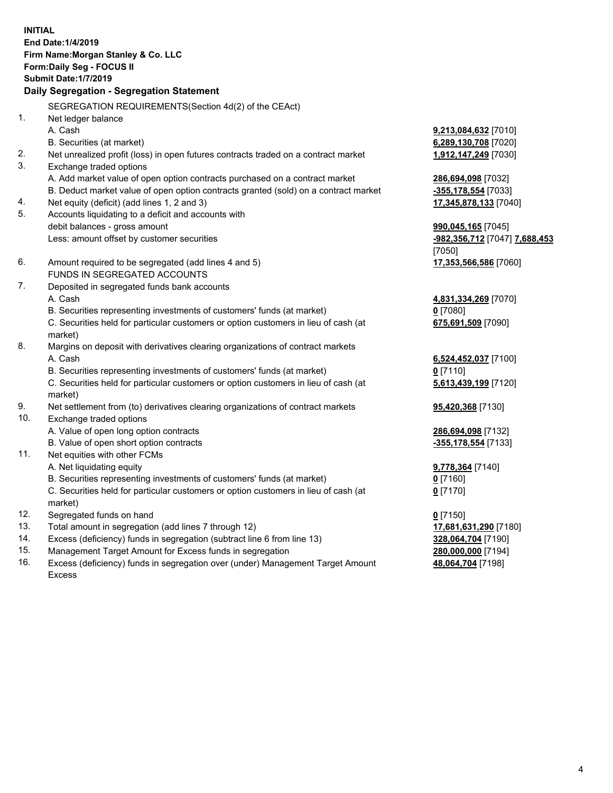**INITIAL End Date:1/4/2019 Firm Name:Morgan Stanley & Co. LLC Form:Daily Seg - FOCUS II Submit Date:1/7/2019 Daily Segregation - Segregation Statement** SEGREGATION REQUIREMENTS(Section 4d(2) of the CEAct) 1. Net ledger balance A. Cash **9,213,084,632** [7010] B. Securities (at market) **6,289,130,708** [7020] 2. Net unrealized profit (loss) in open futures contracts traded on a contract market **1,912,147,249** [7030] 3. Exchange traded options A. Add market value of open option contracts purchased on a contract market **286,694,098** [7032] B. Deduct market value of open option contracts granted (sold) on a contract market **-355,178,554** [7033] 4. Net equity (deficit) (add lines 1, 2 and 3) **17,345,878,133** [7040] 5. Accounts liquidating to a deficit and accounts with debit balances - gross amount **990,045,165** [7045] Less: amount offset by customer securities **-982,356,712** [7047] **7,688,453** [7050] 6. Amount required to be segregated (add lines 4 and 5) **17,353,566,586** [7060] FUNDS IN SEGREGATED ACCOUNTS 7. Deposited in segregated funds bank accounts A. Cash **4,831,334,269** [7070] B. Securities representing investments of customers' funds (at market) **0** [7080] C. Securities held for particular customers or option customers in lieu of cash (at market) **675,691,509** [7090] 8. Margins on deposit with derivatives clearing organizations of contract markets A. Cash **6,524,452,037** [7100] B. Securities representing investments of customers' funds (at market) **0** [7110] C. Securities held for particular customers or option customers in lieu of cash (at market) **5,613,439,199** [7120] 9. Net settlement from (to) derivatives clearing organizations of contract markets **95,420,368** [7130] 10. Exchange traded options A. Value of open long option contracts **286,694,098** [7132] B. Value of open short option contracts **-355,178,554** [7133] 11. Net equities with other FCMs A. Net liquidating equity **9,778,364** [7140] B. Securities representing investments of customers' funds (at market) **0** [7160] C. Securities held for particular customers or option customers in lieu of cash (at market) **0** [7170] 12. Segregated funds on hand **0** [7150] 13. Total amount in segregation (add lines 7 through 12) **17,681,631,290** [7180] 14. Excess (deficiency) funds in segregation (subtract line 6 from line 13) **328,064,704** [7190]

- 15. Management Target Amount for Excess funds in segregation **280,000,000** [7194]
- 16. Excess (deficiency) funds in segregation over (under) Management Target Amount Excess

**48,064,704** [7198]